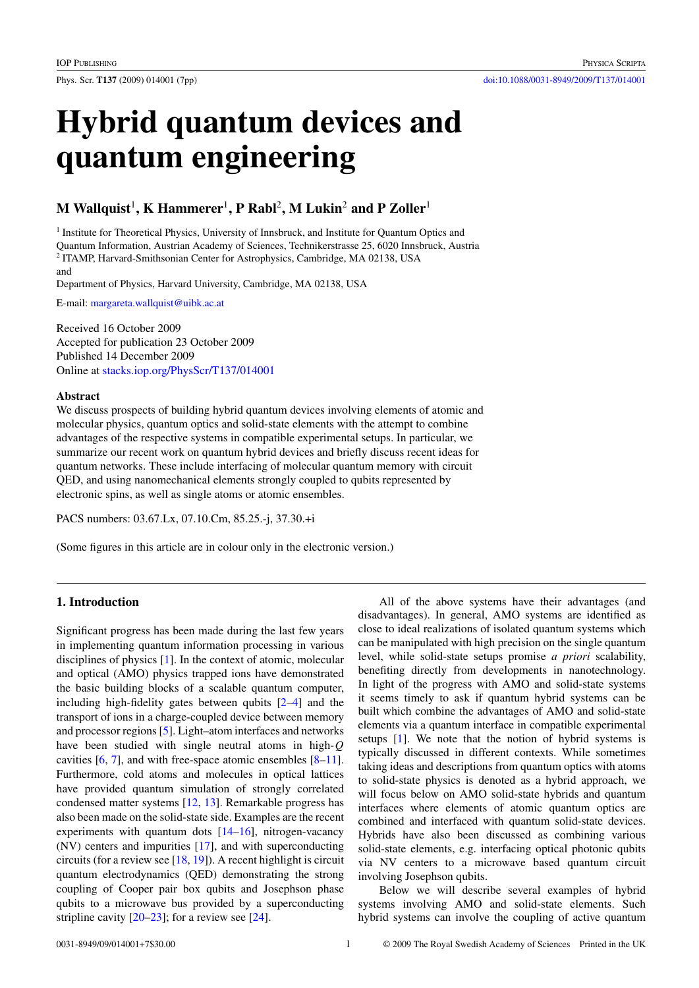# <span id="page-0-0"></span>**Hybrid quantum devices and quantum engineering**

## $\mathbf M$  Wallquist<sup>1</sup>,  $\mathbf K$  Hammerer<sup>1</sup>,  $\mathbf P$  Rabl<sup>2</sup>,  $\mathbf M$  Lukin<sup>2</sup> and  $\mathbf P$  Zoller<sup>1</sup>

<sup>1</sup> Institute for Theoretical Physics, University of Innsbruck, and Institute for Quantum Optics and Quantum Information, Austrian Academy of Sciences, Technikerstrasse 25, 6020 Innsbruck, Austria 2 ITAMP, Harvard-Smithsonian Center for Astrophysics, Cambridge, MA 02138, USA and

Department of Physics, Harvard University, Cambridge, MA 02138, USA

E-mail: [margareta.wallquist@uibk.ac.at](mailto:margareta.wallquist@uibk.ac.at)

Received 16 October 2009 Accepted for publication 23 October 2009 Published 14 December 2009 Online at [stacks.iop.org/PhysScr/T137/014001](http://stacks.iop.org/PhysScr/T137/014001)

#### **Abstract**

We discuss prospects of building hybrid quantum devices involving elements of atomic and molecular physics, quantum optics and solid-state elements with the attempt to combine advantages of the respective systems in compatible experimental setups. In particular, we summarize our recent work on quantum hybrid devices and briefly discuss recent ideas for quantum networks. These include interfacing of molecular quantum memory with circuit QED, and using nanomechanical elements strongly coupled to qubits represented by electronic spins, as well as single atoms or atomic ensembles.

PACS numbers: 03.67.Lx, 07.10.Cm, 85.25.-j, 37.30.+i

(Some figures in this article are in colour only in the electronic version.)

#### **1. Introduction**

Significant progress has been made during the last few years in implementing quantum information processing in various disciplines of physics [\[1\]](#page-5-0). In the context of atomic, molecular and optical (AMO) physics trapped ions have demonstrated the basic building blocks of a scalable quantum computer, including high-fidelity gates between qubits [\[2–4\]](#page-5-0) and the transport of ions in a charge-coupled device between memory and processor regions [\[5\]](#page-5-0). Light–atom interfaces and networks have been studied with single neutral atoms in high-*Q* cavities [\[6,](#page-5-0) [7\]](#page-5-0), and with free-space atomic ensembles [\[8–11\]](#page-5-0). Furthermore, cold atoms and molecules in optical lattices have provided quantum simulation of strongly correlated condensed matter systems [\[12,](#page-5-0) [13\]](#page-5-0). Remarkable progress has also been made on the solid-state side. Examples are the recent experiments with quantum dots  $[14–16]$ , nitrogen-vacancy (NV) centers and impurities [\[17\]](#page-5-0), and with superconducting circuits (for a review see [\[18,](#page-5-0) [19\]](#page-5-0)). A recent highlight is circuit quantum electrodynamics (QED) demonstrating the strong coupling of Cooper pair box qubits and Josephson phase qubits to a microwave bus provided by a superconducting stripline cavity  $[20-23]$ ; for a review see  $[24]$ .

All of the above systems have their advantages (and disadvantages). In general, AMO systems are identified as close to ideal realizations of isolated quantum systems which can be manipulated with high precision on the single quantum level, while solid-state setups promise *a priori* scalability, benefiting directly from developments in nanotechnology. In light of the progress with AMO and solid-state systems it seems timely to ask if quantum hybrid systems can be built which combine the advantages of AMO and solid-state elements via a quantum interface in compatible experimental setups [\[1\]](#page-5-0). We note that the notion of hybrid systems is typically discussed in different contexts. While sometimes taking ideas and descriptions from quantum optics with atoms to solid-state physics is denoted as a hybrid approach, we will focus below on AMO solid-state hybrids and quantum interfaces where elements of atomic quantum optics are combined and interfaced with quantum solid-state devices. Hybrids have also been discussed as combining various solid-state elements, e.g. interfacing optical photonic qubits via NV centers to a microwave based quantum circuit involving Josephson qubits.

Below we will describe several examples of hybrid systems involving AMO and solid-state elements. Such hybrid systems can involve the coupling of active quantum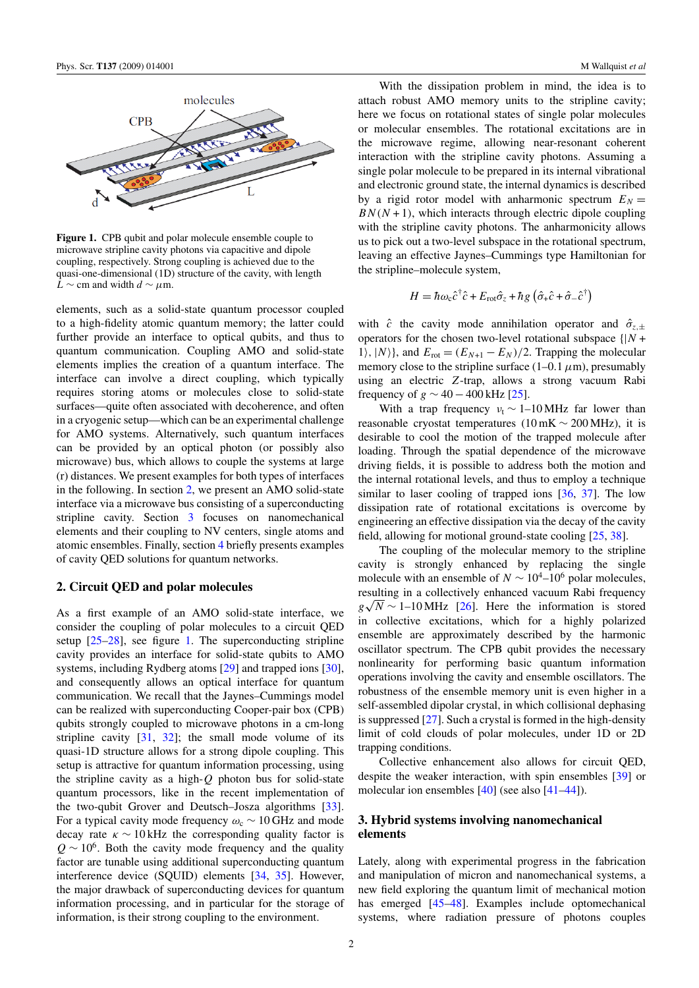

**Figure 1.** CPB qubit and polar molecule ensemble couple to microwave stripline cavity photons via capacitive and dipole coupling, respectively. Strong coupling is achieved due to the quasi-one-dimensional (1D) structure of the cavity, with length *L* ∼ cm and width  $d \sim \mu$ m.

elements, such as a solid-state quantum processor coupled to a high-fidelity atomic quantum memory; the latter could further provide an interface to optical qubits, and thus to quantum communication. Coupling AMO and solid-state elements implies the creation of a quantum interface. The interface can involve a direct coupling, which typically requires storing atoms or molecules close to solid-state surfaces—quite often associated with decoherence, and often in a cryogenic setup—which can be an experimental challenge for AMO systems. Alternatively, such quantum interfaces can be provided by an optical photon (or possibly also microwave) bus, which allows to couple the systems at large (r) distances. We present examples for both types of interfaces in the following. In section 2, we present an AMO solid-state interface via a microwave bus consisting of a superconducting stripline cavity. Section 3 focuses on nanomechanical elements and their coupling to NV centers, single atoms and atomic ensembles. Finally, section [4](#page-4-0) briefly presents examples of cavity QED solutions for quantum networks.

#### **2. Circuit QED and polar molecules**

As a first example of an AMO solid-state interface, we consider the coupling of polar molecules to a circuit QED setup [\[25](#page-5-0)[–28\]](#page-0-0), see figure 1. The superconducting stripline cavity provides an interface for solid-state qubits to AMO systems, including Rydberg atoms [\[29\]](#page-5-0) and trapped ions [\[30\]](#page-5-0), and consequently allows an optical interface for quantum communication. We recall that the Jaynes–Cummings model can be realized with superconducting Cooper-pair box (CPB) qubits strongly coupled to microwave photons in a cm-long stripline cavity [\[31,](#page-5-0) [32\]](#page-5-0); the small mode volume of its quasi-1D structure allows for a strong dipole coupling. This setup is attractive for quantum information processing, using the stripline cavity as a high-*Q* photon bus for solid-state quantum processors, like in the recent implementation of the two-qubit Grover and Deutsch–Josza algorithms [\[33\]](#page-5-0). For a typical cavity mode frequency  $\omega_c \sim 10 \text{ GHz}$  and mode decay rate  $\kappa \sim 10$  kHz the corresponding quality factor is *Q* ∼ 10<sup>6</sup>. Both the cavity mode frequency and the quality factor are tunable using additional superconducting quantum interference device (SQUID) elements [\[34,](#page-5-0) [35\]](#page-5-0). However, the major drawback of superconducting devices for quantum information processing, and in particular for the storage of information, is their strong coupling to the environment.

With the dissipation problem in mind, the idea is to attach robust AMO memory units to the stripline cavity; here we focus on rotational states of single polar molecules or molecular ensembles. The rotational excitations are in the microwave regime, allowing near-resonant coherent interaction with the stripline cavity photons. Assuming a single polar molecule to be prepared in its internal vibrational and electronic ground state, the internal dynamics is described by a rigid rotor model with anharmonic spectrum  $E<sub>N</sub>$  =  $BN(N+1)$ , which interacts through electric dipole coupling with the stripline cavity photons. The anharmonicity allows us to pick out a two-level subspace in the rotational spectrum, leaving an effective Jaynes–Cummings type Hamiltonian for the stripline–molecule system,

$$
H = \hbar \omega_{\rm c} \hat{c}^{\dagger} \hat{c} + E_{\rm rot} \hat{\sigma}_z + \hbar g \left( \hat{\sigma}_+ \hat{c} + \hat{\sigma}_- \hat{c}^{\dagger} \right)
$$

with  $\hat{c}$  the cavity mode annihilation operator and  $\hat{\sigma}_{z,\pm}$ operators for the chosen two-level rotational subspace {|*N* + 1),  $|N\rangle$ , and  $E_{\text{rot}} = (E_{N+1} - E_N)/2$ . Trapping the molecular memory close to the stripline surface  $(1-0.1 \mu m)$ , presumably using an electric *Z*-trap, allows a strong vacuum Rabi frequency of  $g \sim 40 - 400$  kHz [\[25\]](#page-5-0).

With a trap frequency  $v_t \sim 1-10 \text{ MHz}$  far lower than reasonable cryostat temperatures  $(10 \text{ mK} \sim 200 \text{ MHz})$ , it is desirable to cool the motion of the trapped molecule after loading. Through the spatial dependence of the microwave driving fields, it is possible to address both the motion and the internal rotational levels, and thus to employ a technique similar to laser cooling of trapped ions [\[36,](#page-5-0) [37\]](#page-5-0). The low dissipation rate of rotational excitations is overcome by engineering an effective dissipation via the decay of the cavity field, allowing for motional ground-state cooling [\[25,](#page-5-0) [38\]](#page-5-0).

The coupling of the molecular memory to the stripline cavity is strongly enhanced by replacing the single molecule with an ensemble of  $N \sim 10^4$ –10<sup>6</sup> polar molecules, resulting in a collectively enhanced vacuum Rabi frequency  $g\sqrt{N}$  ∼ 1–10 MHz [\[26\]](#page-5-0). Here the information is stored in collective excitations, which for a highly polarized ensemble are approximately described by the harmonic oscillator spectrum. The CPB qubit provides the necessary nonlinearity for performing basic quantum information operations involving the cavity and ensemble oscillators. The robustness of the ensemble memory unit is even higher in a self-assembled dipolar crystal, in which collisional dephasing is suppressed [\[27\]](#page-5-0). Such a crystal is formed in the high-density limit of cold clouds of polar molecules, under 1D or 2D trapping conditions.

Collective enhancement also allows for circuit QED, despite the weaker interaction, with spin ensembles [\[39\]](#page-5-0) or molecular ion ensembles [\[40\]](#page-5-0) (see also [\[41–44\]](#page-5-0)).

### **3. Hybrid systems involving nanomechanical elements**

Lately, along with experimental progress in the fabrication and manipulation of micron and nanomechanical systems, a new field exploring the quantum limit of mechanical motion has emerged [\[45–48\]](#page-5-0). Examples include optomechanical systems, where radiation pressure of photons couples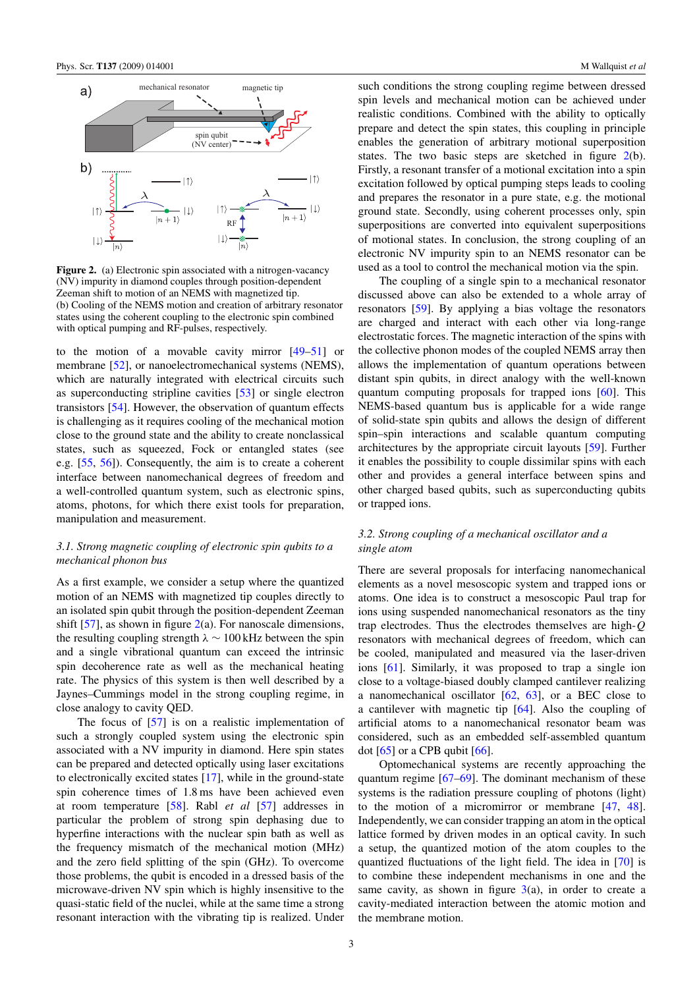

**Figure 2.** (a) Electronic spin associated with a nitrogen-vacancy (NV) impurity in diamond couples through position-dependent Zeeman shift to motion of an NEMS with magnetized tip. (b) Cooling of the NEMS motion and creation of arbitrary resonator states using the coherent coupling to the electronic spin combined with optical pumping and RF-pulses, respectively.

to the motion of a movable cavity mirror [\[49–51\]](#page-5-0) or membrane [\[52\]](#page-5-0), or nanoelectromechanical systems (NEMS), which are naturally integrated with electrical circuits such as superconducting stripline cavities [\[53\]](#page-5-0) or single electron transistors [\[54\]](#page-5-0). However, the observation of quantum effects is challenging as it requires cooling of the mechanical motion close to the ground state and the ability to create nonclassical states, such as squeezed, Fock or entangled states (see e.g. [\[55,](#page-5-0) [56\]](#page-5-0)). Consequently, the aim is to create a coherent interface between nanomechanical degrees of freedom and a well-controlled quantum system, such as electronic spins, atoms, photons, for which there exist tools for preparation, manipulation and measurement.

#### *3.1. Strong magnetic coupling of electronic spin qubits to a mechanical phonon bus*

As a first example, we consider a setup where the quantized motion of an NEMS with magnetized tip couples directly to an isolated spin qubit through the position-dependent Zeeman shift  $[57]$ , as shown in figure  $2(a)$ . For nanoscale dimensions, the resulting coupling strength  $\lambda \sim 100$  kHz between the spin and a single vibrational quantum can exceed the intrinsic spin decoherence rate as well as the mechanical heating rate. The physics of this system is then well described by a Jaynes–Cummings model in the strong coupling regime, in close analogy to cavity QED.

The focus of [\[57\]](#page-5-0) is on a realistic implementation of such a strongly coupled system using the electronic spin associated with a NV impurity in diamond. Here spin states can be prepared and detected optically using laser excitations to electronically excited states [\[17\]](#page-5-0), while in the ground-state spin coherence times of 1.8 ms have been achieved even at room temperature [\[58\]](#page-5-0). Rabl *et al* [\[57\]](#page-5-0) addresses in particular the problem of strong spin dephasing due to hyperfine interactions with the nuclear spin bath as well as the frequency mismatch of the mechanical motion (MHz) and the zero field splitting of the spin (GHz). To overcome those problems, the qubit is encoded in a dressed basis of the microwave-driven NV spin which is highly insensitive to the quasi-static field of the nuclei, while at the same time a strong resonant interaction with the vibrating tip is realized. Under

such conditions the strong coupling regime between dressed spin levels and mechanical motion can be achieved under realistic conditions. Combined with the ability to optically prepare and detect the spin states, this coupling in principle enables the generation of arbitrary motional superposition states. The two basic steps are sketched in figure 2(b). Firstly, a resonant transfer of a motional excitation into a spin excitation followed by optical pumping steps leads to cooling and prepares the resonator in a pure state, e.g. the motional ground state. Secondly, using coherent processes only, spin superpositions are converted into equivalent superpositions of motional states. In conclusion, the strong coupling of an electronic NV impurity spin to an NEMS resonator can be used as a tool to control the mechanical motion via the spin.

The coupling of a single spin to a mechanical resonator discussed above can also be extended to a whole array of resonators [\[59\]](#page-5-0). By applying a bias voltage the resonators are charged and interact with each other via long-range electrostatic forces. The magnetic interaction of the spins with the collective phonon modes of the coupled NEMS array then allows the implementation of quantum operations between distant spin qubits, in direct analogy with the well-known quantum computing proposals for trapped ions [\[60\]](#page-5-0). This NEMS-based quantum bus is applicable for a wide range of solid-state spin qubits and allows the design of different spin–spin interactions and scalable quantum computing architectures by the appropriate circuit layouts [\[59\]](#page-5-0). Further it enables the possibility to couple dissimilar spins with each other and provides a general interface between spins and other charged based qubits, such as superconducting qubits or trapped ions.

#### *3.2. Strong coupling of a mechanical oscillator and a single atom*

There are several proposals for interfacing nanomechanical elements as a novel mesoscopic system and trapped ions or atoms. One idea is to construct a mesoscopic Paul trap for ions using suspended nanomechanical resonators as the tiny trap electrodes. Thus the electrodes themselves are high-*Q* resonators with mechanical degrees of freedom, which can be cooled, manipulated and measured via the laser-driven ions [\[61\]](#page-5-0). Similarly, it was proposed to trap a single ion close to a voltage-biased doubly clamped cantilever realizing a nanomechanical oscillator [\[62,](#page-5-0) [63\]](#page-5-0), or a BEC close to a cantilever with magnetic tip [\[64\]](#page-5-0). Also the coupling of artificial atoms to a nanomechanical resonator beam was considered, such as an embedded self-assembled quantum dot  $[65]$  or a CPB qubit  $[66]$ .

Optomechanical systems are recently approaching the quantum regime [\[67–69\]](#page-5-0). The dominant mechanism of these systems is the radiation pressure coupling of photons (light) to the motion of a micromirror or membrane [\[47,](#page-5-0) [48\]](#page-5-0). Independently, we can consider trapping an atom in the optical lattice formed by driven modes in an optical cavity. In such a setup, the quantized motion of the atom couples to the quantized fluctuations of the light field. The idea in [\[70\]](#page-5-0) is to combine these independent mechanisms in one and the same cavity, as shown in figure  $3(a)$  $3(a)$ , in order to create a cavity-mediated interaction between the atomic motion and the membrane motion.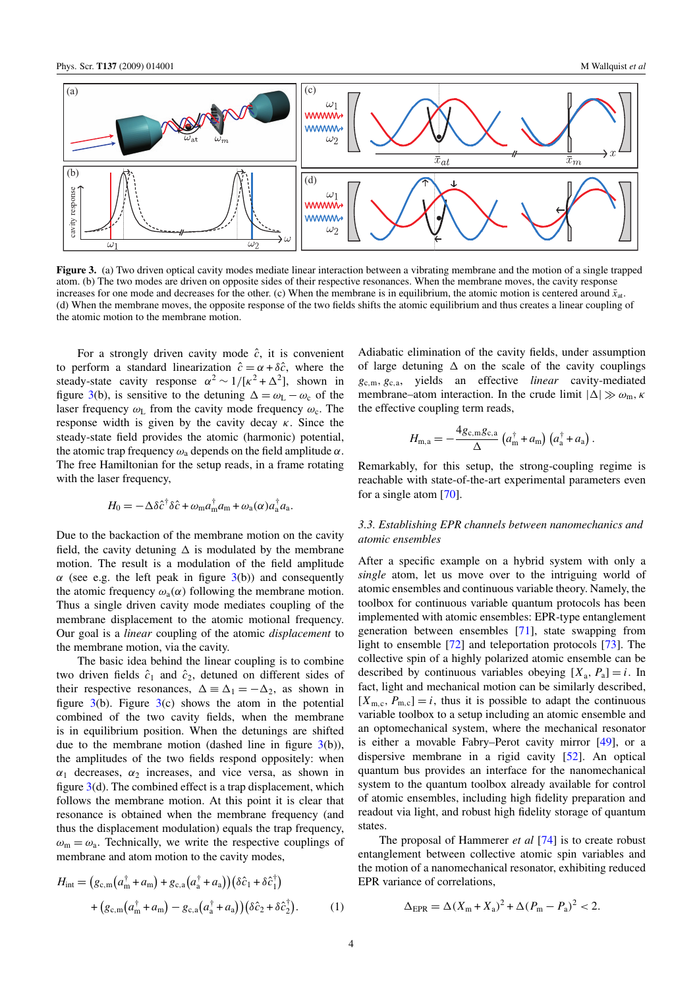<span id="page-3-0"></span>

**Figure 3.** (a) Two driven optical cavity modes mediate linear interaction between a vibrating membrane and the motion of a single trapped atom. (b) The two modes are driven on opposite sides of their respective resonances. When the membrane moves, the cavity response increases for one mode and decreases for the other. (c) When the membrane is in equilibrium, the atomic motion is centered around  $\bar{x}_{at}$ . (d) When the membrane moves, the opposite response of the two fields shifts the atomic equilibrium and thus creates a linear coupling of the atomic motion to the membrane motion.

For a strongly driven cavity mode  $\hat{c}$ , it is convenient to perform a standard linearization  $\hat{c} = \alpha + \delta \hat{c}$ , where the steady-state cavity response  $\alpha^2 \sim 1/[\kappa^2 + \Delta^2]$ , shown in figure 3(b), is sensitive to the detuning  $\Delta = \omega_L - \omega_c$  of the laser frequency  $\omega_L$  from the cavity mode frequency  $\omega_c$ . The response width is given by the cavity decay  $\kappa$ . Since the steady-state field provides the atomic (harmonic) potential, the atomic trap frequency  $\omega_a$  depends on the field amplitude  $\alpha$ . The free Hamiltonian for the setup reads, in a frame rotating with the laser frequency,

$$
H_0 = -\Delta \delta \hat{c}^\dagger \delta \hat{c} + \omega_{\rm m} a_{\rm m}^\dagger a_{\rm m} + \omega_{\rm a}(\alpha) a_{\rm a}^\dagger a_{\rm a}.
$$

Due to the backaction of the membrane motion on the cavity field, the cavity detuning  $\Delta$  is modulated by the membrane motion. The result is a modulation of the field amplitude  $\alpha$  (see e.g. the left peak in figure 3(b)) and consequently the atomic frequency  $\omega_a(\alpha)$  following the membrane motion. Thus a single driven cavity mode mediates coupling of the membrane displacement to the atomic motional frequency. Our goal is a *linear* coupling of the atomic *displacement* to the membrane motion, via the cavity.

The basic idea behind the linear coupling is to combine two driven fields  $\hat{c}_1$  and  $\hat{c}_2$ , detuned on different sides of their respective resonances,  $\Delta = \Delta_1 = -\Delta_2$ , as shown in figure  $3(b)$ . Figure  $3(c)$  shows the atom in the potential combined of the two cavity fields, when the membrane is in equilibrium position. When the detunings are shifted due to the membrane motion (dashed line in figure  $3(b)$ ), the amplitudes of the two fields respond oppositely: when  $\alpha_1$  decreases,  $\alpha_2$  increases, and vice versa, as shown in figure  $3(d)$ . The combined effect is a trap displacement, which follows the membrane motion. At this point it is clear that resonance is obtained when the membrane frequency (and thus the displacement modulation) equals the trap frequency,  $\omega_m = \omega_a$ . Technically, we write the respective couplings of membrane and atom motion to the cavity modes,

$$
H_{\rm int} = (g_{\rm c,m}(a_{\rm m}^{\dagger} + a_{\rm m}) + g_{\rm c,a}(a_{\rm a}^{\dagger} + a_{\rm a})) (\delta \hat{c}_1 + \delta \hat{c}_1^{\dagger}) + (g_{\rm c,m}(a_{\rm m}^{\dagger} + a_{\rm m}) - g_{\rm c,a}(a_{\rm a}^{\dagger} + a_{\rm a})) (\delta \hat{c}_2 + \delta \hat{c}_2^{\dagger}).
$$
 (1)

Adiabatic elimination of the cavity fields, under assumption of large detuning  $\Delta$  on the scale of the cavity couplings *g*c,m, *g*c,a, yields an effective *linear* cavity-mediated membrane–atom interaction. In the crude limit  $|\Delta| \gg \omega_{\rm m}$ ,  $\kappa$ the effective coupling term reads,

$$
H_{\mathrm{m,a}} = -\frac{4g_{\mathrm{c,m}}g_{\mathrm{c,a}}}{\Delta} \left( a_{\mathrm{m}}^{\dagger} + a_{\mathrm{m}} \right) \left( a_{\mathrm{a}}^{\dagger} + a_{\mathrm{a}} \right).
$$

Remarkably, for this setup, the strong-coupling regime is reachable with state-of-the-art experimental parameters even for a single atom [\[70\]](#page-5-0).

#### *3.3. Establishing EPR channels between nanomechanics and atomic ensembles*

After a specific example on a hybrid system with only a *single* atom, let us move over to the intriguing world of atomic ensembles and continuous variable theory. Namely, the toolbox for continuous variable quantum protocols has been implemented with atomic ensembles: EPR-type entanglement generation between ensembles [\[71\]](#page-5-0), state swapping from light to ensemble [\[72\]](#page-6-0) and teleportation protocols [\[73\]](#page-6-0). The collective spin of a highly polarized atomic ensemble can be described by continuous variables obeying  $[X_a, P_a] = i$ . In fact, light and mechanical motion can be similarly described,  $[X_{\text{m,c}}, P_{\text{m,c}}] = i$ , thus it is possible to adapt the continuous variable toolbox to a setup including an atomic ensemble and an optomechanical system, where the mechanical resonator is either a movable Fabry–Perot cavity mirror [\[49\]](#page-5-0), or a dispersive membrane in a rigid cavity [\[52\]](#page-5-0). An optical quantum bus provides an interface for the nanomechanical system to the quantum toolbox already available for control of atomic ensembles, including high fidelity preparation and readout via light, and robust high fidelity storage of quantum states.

The proposal of Hammerer *et al* [\[74\]](#page-6-0) is to create robust entanglement between collective atomic spin variables and the motion of a nanomechanical resonator, exhibiting reduced EPR variance of correlations,

$$
\Delta_{\text{EPR}} = \Delta (X_{\text{m}} + X_{\text{a}})^2 + \Delta (P_{\text{m}} - P_{\text{a}})^2 < 2.
$$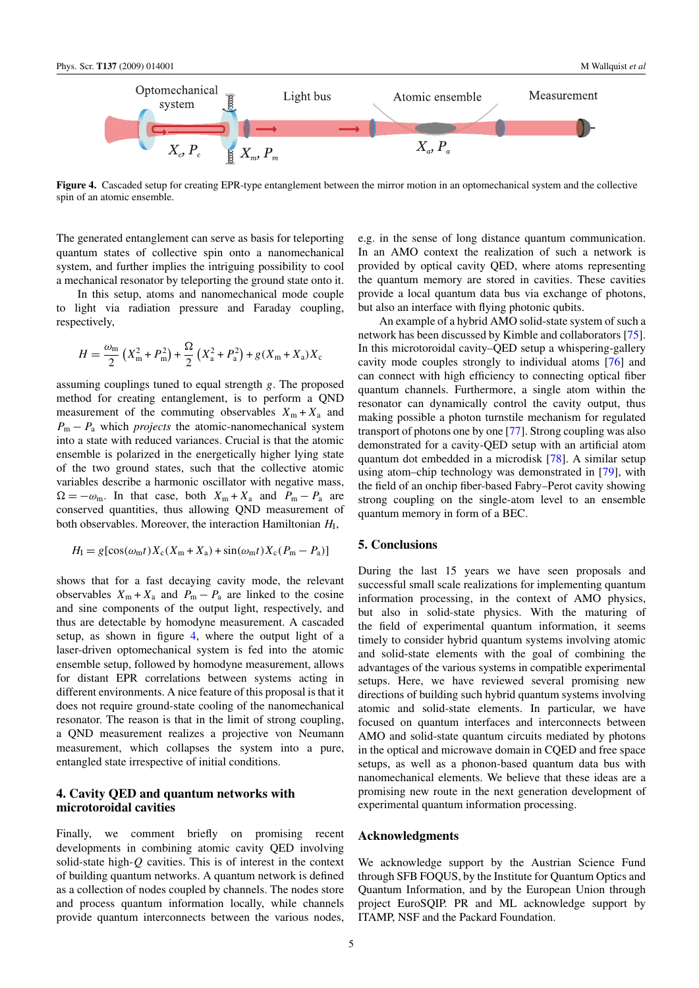<span id="page-4-0"></span>

**Figure 4.** Cascaded setup for creating EPR-type entanglement between the mirror motion in an optomechanical system and the collective spin of an atomic ensemble.

The generated entanglement can serve as basis for teleporting quantum states of collective spin onto a nanomechanical system, and further implies the intriguing possibility to cool a mechanical resonator by teleporting the ground state onto it.

In this setup, atoms and nanomechanical mode couple to light via radiation pressure and Faraday coupling, respectively,

$$
H = \frac{\omega_{\rm m}}{2} \left( X_{\rm m}^2 + P_{\rm m}^2 \right) + \frac{\Omega}{2} \left( X_{\rm a}^2 + P_{\rm a}^2 \right) + g \left( X_{\rm m} + X_{\rm a} \right) X_{\rm c}
$$

assuming couplings tuned to equal strength *g*. The proposed method for creating entanglement, is to perform a QND measurement of the commuting observables  $X_m + X_a$  and  $P_m - P_a$  which *projects* the atomic-nanomechanical system into a state with reduced variances. Crucial is that the atomic ensemble is polarized in the energetically higher lying state of the two ground states, such that the collective atomic variables describe a harmonic oscillator with negative mass,  $\Omega = -\omega_m$ . In that case, both  $X_m + X_a$  and  $P_m - P_a$  are conserved quantities, thus allowing QND measurement of both observables. Moreover, the interaction Hamiltonian *H*<sup>I</sup> ,

$$
H_{\rm I} = g[\cos(\omega_{\rm m}t)X_{\rm c}(X_{\rm m}+X_{\rm a}) + \sin(\omega_{\rm m}t)X_{\rm c}(P_{\rm m}-P_{\rm a})]
$$

shows that for a fast decaying cavity mode, the relevant observables  $X_m + X_a$  and  $P_m - P_a$  are linked to the cosine and sine components of the output light, respectively, and thus are detectable by homodyne measurement. A cascaded setup, as shown in figure 4, where the output light of a laser-driven optomechanical system is fed into the atomic ensemble setup, followed by homodyne measurement, allows for distant EPR correlations between systems acting in different environments. A nice feature of this proposal is that it does not require ground-state cooling of the nanomechanical resonator. The reason is that in the limit of strong coupling, a QND measurement realizes a projective von Neumann measurement, which collapses the system into a pure, entangled state irrespective of initial conditions.

#### **4. Cavity QED and quantum networks with microtoroidal cavities**

Finally, we comment briefly on promising recent developments in combining atomic cavity QED involving solid-state high-*Q* cavities. This is of interest in the context of building quantum networks. A quantum network is defined as a collection of nodes coupled by channels. The nodes store and process quantum information locally, while channels provide quantum interconnects between the various nodes,

e.g. in the sense of long distance quantum communication. In an AMO context the realization of such a network is provided by optical cavity QED, where atoms representing the quantum memory are stored in cavities. These cavities provide a local quantum data bus via exchange of photons, but also an interface with flying photonic qubits.

An example of a hybrid AMO solid-state system of such a network has been discussed by Kimble and collaborators [\[75\]](#page-6-0). In this microtoroidal cavity–QED setup a whispering-gallery cavity mode couples strongly to individual atoms [\[76\]](#page-6-0) and can connect with high efficiency to connecting optical fiber quantum channels. Furthermore, a single atom within the resonator can dynamically control the cavity output, thus making possible a photon turnstile mechanism for regulated transport of photons one by one [\[77\]](#page-6-0). Strong coupling was also demonstrated for a cavity-QED setup with an artificial atom quantum dot embedded in a microdisk [\[78\]](#page-6-0). A similar setup using atom–chip technology was demonstrated in [\[79\]](#page-6-0), with the field of an onchip fiber-based Fabry–Perot cavity showing strong coupling on the single-atom level to an ensemble quantum memory in form of a BEC.

#### **5. Conclusions**

During the last 15 years we have seen proposals and successful small scale realizations for implementing quantum information processing, in the context of AMO physics, but also in solid-state physics. With the maturing of the field of experimental quantum information, it seems timely to consider hybrid quantum systems involving atomic and solid-state elements with the goal of combining the advantages of the various systems in compatible experimental setups. Here, we have reviewed several promising new directions of building such hybrid quantum systems involving atomic and solid-state elements. In particular, we have focused on quantum interfaces and interconnects between AMO and solid-state quantum circuits mediated by photons in the optical and microwave domain in CQED and free space setups, as well as a phonon-based quantum data bus with nanomechanical elements. We believe that these ideas are a promising new route in the next generation development of experimental quantum information processing.

#### **Acknowledgments**

We acknowledge support by the Austrian Science Fund through SFB FOQUS, by the Institute for Quantum Optics and Quantum Information, and by the European Union through project EuroSQIP. PR and ML acknowledge support by ITAMP, NSF and the Packard Foundation.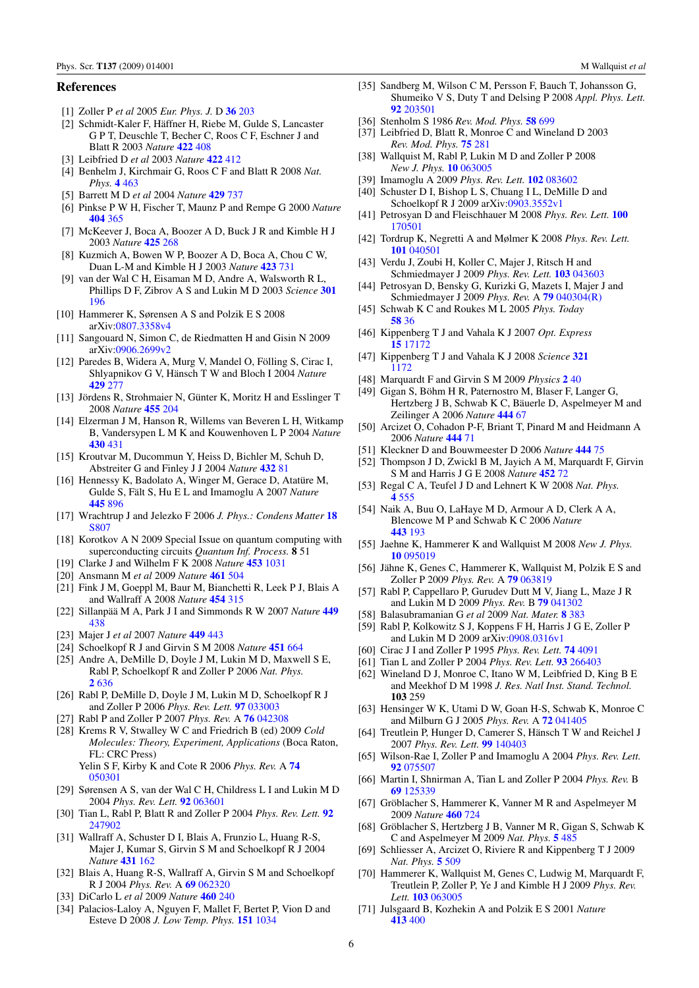#### <span id="page-5-0"></span>**References**

- [1] Zoller P *et al* 2005 *Eur. Phys. J.* D **36** [203](http://dx.doi.org/10.1140/epjd/e2005-00251-1)
- [2] Schmidt-Kaler F, Häffner H, Riebe M, Gulde S, Lancaster G P T, Deuschle T, Becher C, Roos C F, Eschner J and Blatt R 2003 *Nature* **[422](http://dx.doi.org/10.1038/nature01494)** 408
- [3] Leibfried D *et al* 2003 *Nature* **422** [412](http://dx.doi.org/10.1038/nature01492)
- [4] Benhelm J, Kirchmair G, Roos C F and Blatt R 2008 *Nat. Phys.* **4** [463](http://dx.doi.org/10.1038/nphys961)
- [5] Barrett M D *et al* 2004 *Nature* **[429](http://dx.doi.org/10.1038/nature02608)** 737
- [6] Pinkse P W H, Fischer T, Maunz P and Rempe G 2000 *Nature* **[404](http://dx.doi.org/10.1038/35006006)** 365
- [7] McKeever J, Boca A, Boozer A D, Buck J R and Kimble H J 2003 *Nature* **[425](http://dx.doi.org/10.1038/nature01974)** 268
- [8] Kuzmich A, Bowen W P, Boozer A D, Boca A, Chou C W, Duan L-M and Kimble H J 2003 *Nature* **[423](http://dx.doi.org/10.1038/nature01714)** 731
- [9] van der Wal C H, Eisaman M D, Andre A, Walsworth R L, Phillips D F, Zibrov A S and Lukin M D 2003 *Science* **[301](http://dx.doi.org/10.1126/science.1085946)** [196](http://dx.doi.org/10.1126/science.1085946)
- [10] Hammerer K, Sørensen A S and Polzik E S 2008 arXiv[:0807.3358v4](http://arxiv.org/abs/0807.3358v4)
- [11] Sangouard N, Simon C, de Riedmatten H and Gisin N 2009 arXiv[:0906.2699v2](http://arxiv.org/abs/0906.2699v2)
- [12] Paredes B, Widera A, Murg V, Mandel O, Fölling S, Cirac I, Shlyapnikov G V, Hänsch T W and Bloch I 2004 *Nature* **[429](http://dx.doi.org/10.1038/nature02530)** 277
- [13] Jördens R, Strohmaier N, Günter K, Moritz H and Esslinger T 2008 *Nature* **[455](http://dx.doi.org/10.1038/nature07244)** 204
- [14] Elzerman J M, Hanson R, Willems van Beveren L H, Witkamp B, Vandersypen L M K and Kouwenhoven L P 2004 *Nature* **[430](http://dx.doi.org/10.1038/nature02693)** 431
- [15] Kroutvar M, Ducommun Y, Heiss D, Bichler M, Schuh D, Abstreiter G and Finley J J 2004 *Nature* **[432](http://dx.doi.org/10.1038/nature03008)** 81
- [16] Hennessy K, Badolato A, Winger M, Gerace D, Atatüre M, Gulde S, Fält S, Hu E L and Imamoglu A 2007 *Nature* **[445](http://dx.doi.org/10.1038/nature05586)** 896
- [17] Wrachtrup J and Jelezko F 2006 *J. Phys.: Condens Matter* **[18](http://dx.doi.org/10.1088/0953-8984/18/21/S08)** [S807](http://dx.doi.org/10.1088/0953-8984/18/21/S08)
- [18] Korotkov A N 2009 Special Issue on quantum computing with superconducting circuits *Quantum Inf. Process.* **8** 51
- [19] Clarke J and Wilhelm F K 2008 *Nature* **453** [1031](http://dx.doi.org/10.1038/nature07128)
- [20] Ansmann M *et al* 2009 *Nature* **[461](http://dx.doi.org/10.1038/nature08363)** 504
- [21] Fink J M, Goeppl M, Baur M, Bianchetti R, Leek P J, Blais A and Wallraff A 2008 *Nature* **[454](http://dx.doi.org/10.1038/nature07112)** 315
- [22] Sillanpää M A, Park J I and Simmonds R W 2007 *Nature* **[449](http://dx.doi.org/10.1038/nature06124)** [438](http://dx.doi.org/10.1038/nature06124)
- [23] Majer J *et al* 2007 *Nature* **[449](http://dx.doi.org/10.1038/nature06184)** 443
- [24] Schoelkopf R J and Girvin S M 2008 *Nature* **451** [664](http://dx.doi.org/10.1038/451664a)
- [25] Andre A, DeMille D, Doyle J M, Lukin M D, Maxwell S E, Rabl P, Schoelkopf R and Zoller P 2006 *Nat. Phys.* **2** [636](http://dx.doi.org/10.1038/nphys386)
- [26] Rabl P, DeMille D, Doyle J M, Lukin M D, Schoelkopf R J and Zoller P 2006 *Phys. Rev. Lett.* **97** [033003](http://dx.doi.org/10.1103/PhysRevLett.97.033003)
- [27] Rabl P and Zoller P 2007 *Phys. Rev.* A **76** [042308](http://dx.doi.org/10.1103/PhysRevA.76.042308)
- [28] Krems R V, Stwalley W C and Friedrich B (ed) 2009 *Cold Molecules: Theory, Experiment, Applications* (Boca Raton, FL: CRC Press) Yelin S F, Kirby K and Cote R 2006 *Phys. Rev.* A **[74](http://dx.doi.org/10.1103/PhysRevA.74.050301)** [050301](http://dx.doi.org/10.1103/PhysRevA.74.050301)
- [29] Sørensen A S, van der Wal C H, Childress L I and Lukin M D 2004 *Phys. Rev. Lett.* **92** [063601](http://dx.doi.org/10.1103/PhysRevLett.92.063601)
- [30] Tian L, Rabl P, Blatt R and Zoller P 2004 *Phys. Rev. Lett.* **[92](http://dx.doi.org/10.1103/PhysRevLett.92.247902)** [247902](http://dx.doi.org/10.1103/PhysRevLett.92.247902)
- [31] Wallraff A, Schuster D I, Blais A, Frunzio L, Huang R-S, Majer J, Kumar S, Girvin S M and Schoelkopf R J 2004 *Nature* **[431](http://dx.doi.org/10.1038/nature02851)** 162
- [32] Blais A, Huang R-S, Wallraff A, Girvin S M and Schoelkopf R J 2004 *Phys. Rev.* A **69** [062320](http://dx.doi.org/10.1103/PhysRevA.69.062320)
- [33] DiCarlo L *et al* 2009 *Nature* **460** [240](http://dx.doi.org/10.1038/nature08121)
- [34] Palacios-Laloy A, Nguyen F, Mallet F, Bertet P, Vion D and Esteve D 2008 *J. Low Temp. Phys.* **151** [1034](http://dx.doi.org/10.1007/s10909-008-9774-x)
- [35] Sandberg M, Wilson C M, Persson F, Bauch T, Johansson G, Shumeiko V S, Duty T and Delsing P 2008 *Appl. Phys. Lett.* **92** [203501](http://dx.doi.org/10.1063/1.2929367)
- [36] Stenholm S 1986 *Rev. Mod. Phys.* **58** [699](http://dx.doi.org/10.1103/RevModPhys.58.699)
- [37] Leibfried D, Blatt R, Monroe C and Wineland D 2003 *Rev. Mod. Phys.* **75** [281](http://dx.doi.org/10.1103/RevModPhys.75.281)
- [38] Wallquist M, Rabl P, Lukin M D and Zoller P 2008 *New J. Phys.* **10** [063005](http://dx.doi.org/10.1088/1367-2630/10/6/063005)
- [39] Imamoglu A 2009 *Phys. Rev. Lett.* **102** [083602](http://dx.doi.org/10.1103/PhysRevLett.102.083602)
- [40] Schuster D I, Bishop L S, Chuang I L, DeMille D and Schoelkopf R J 2009 arXiv[:0903.3552v1](http://arxiv.org/abs/0903.3552v1)
- [41] Petrosyan D and Fleischhauer M 2008 *Phys. Rev. Lett.* **[100](http://dx.doi.org/10.1103/PhysRevLett.100.170501)** [170501](http://dx.doi.org/10.1103/PhysRevLett.100.170501)
- [42] Tordrup K, Negretti A and Mølmer K 2008 *Phys. Rev. Lett.* **101** [040501](http://dx.doi.org/10.1103/PhysRevLett.101.040501)
- [43] Verdu J, Zoubi H, Koller C, Majer J, Ritsch H and Schmiedmayer J 2009 *Phys. Rev. Lett.* **103** [043603](http://dx.doi.org/10.1103/PhysRevLett.103.043603)
- [44] Petrosyan D, Bensky G, Kurizki G, Mazets I, Majer J and Schmiedmayer J 2009 *Phys. Rev.* A **79** [040304\(R\)](http://dx.doi.org/10.1103/PhysRevA.79.040304)
- [45] Schwab K C and Roukes M L 2005 *Phys. Today* **[58](http://dx.doi.org/10.1063/1.2012461)** 36
- [46] Kippenberg T J and Vahala K J 2007 *Opt. Express* **15** [17172](http://dx.doi.org/10.1364/OE.15.017172)
- [47] Kippenberg T J and Vahala K J 2008 *Science* **[321](http://dx.doi.org/10.1126/science.1156032)** [1172](http://dx.doi.org/10.1126/science.1156032)
- [48] Marquardt F and Girvin S M 2009 *Physics* **2** [40](http://dx.doi.org/10.1103/Physics.2.40)
- [49] Gigan S, Böhm H R, Paternostro M, Blaser F, Langer G, Hertzberg J B, Schwab K C, Bäuerle D, Aspelmeyer M and Zeilinger A 2006 *Nature* **[444](http://dx.doi.org/10.1038/nature05273)** 67
- [50] Arcizet O, Cohadon P-F, Briant T, Pinard M and Heidmann A 2006 *Nature* **[444](http://dx.doi.org/10.1038/nature05244)** 71
- [51] Kleckner D and Bouwmeester D 2006 *Nature* **[444](http://dx.doi.org/10.1038/nature05231)** 75
- [52] Thompson J D, Zwickl B M, Jayich A M, Marquardt F, Girvin S M and Harris J G E 2008 *Nature* **[452](http://dx.doi.org/10.1038/nature06715)** 72
- [53] Regal C A, Teufel J D and Lehnert K W 2008 *Nat. Phys.* **4** [555](http://dx.doi.org/10.1038/nphys974)
- [54] Naik A, Buu O, LaHaye M D, Armour A D, Clerk A A, Blencowe M P and Schwab K C 2006 *Nature* **[443](http://dx.doi.org/10.1038/nature05027)** 193
- [55] Jaehne K, Hammerer K and Wallquist M 2008 *New J. Phys.* **10** [095019](http://dx.doi.org/10.1088/1367-2630/10/9/095019)
- [56] Jähne K, Genes C, Hammerer K, Wallquist M, Polzik E S and Zoller P 2009 *Phys. Rev.* A **79** [063819](http://dx.doi.org/10.1103/PhysRevA.79.063819)
- [57] Rabl P, Cappellaro P, Gurudev Dutt M V, Jiang L, Maze J R and Lukin M D 2009 *Phys. Rev.* B **79** [041302](http://dx.doi.org/10.1103/PhysRevB.79.041302)
- [58] Balasubramanian G *et al* 2009 *Nat. Mater.* **8** [383](http://dx.doi.org/10.1038/nmat2420)
- [59] Rabl P, Kolkowitz S J, Koppens F H, Harris J G E, Zoller P and Lukin M D 2009 arXiv[:0908.0316v1](http://arxiv.org/abs/0908.0316v1)
- [60] Cirac J I and Zoller P 1995 *Phys. Rev. Lett.* **74** [4091](http://dx.doi.org/10.1103/PhysRevLett.74.4091)
- [61] Tian L and Zoller P 2004 *Phys. Rev. Lett.* **93** [266403](http://dx.doi.org/10.1103/PhysRevLett.93.266403)
- [62] Wineland D J, Monroe C, Itano W M, Leibfried D, King B E and Meekhof D M 1998 *J. Res. Natl Inst. Stand. Technol.* **103** 259
- [63] Hensinger W K, Utami D W, Goan H-S, Schwab K, Monroe C and Milburn G J 2005 *Phys. Rev.* A **72** [041405](http://dx.doi.org/10.1103/PhysRevA.72.041405)
- [64] Treutlein P, Hunger D, Camerer S, Hänsch T W and Reichel J 2007 *Phys. Rev. Lett.* **99** [140403](http://dx.doi.org/10.1103/PhysRevLett.99.140403)
- [65] Wilson-Rae I, Zoller P and Imamoglu A 2004 *Phys. Rev. Lett.* **92** [075507](http://dx.doi.org/10.1103/PhysRevLett.92.075507)
- [66] Martin I, Shnirman A, Tian L and Zoller P 2004 *Phys. Rev.* B **69** [125339](http://dx.doi.org/10.1103/PhysRevB.69.125339)
- [67] Gröblacher S, Hammerer K, Vanner M R and Aspelmeyer M 2009 *Nature* **[460](http://dx.doi.org/10.1038/nature08171)** 724
- [68] Gröblacher S, Hertzberg J B, Vanner M R, Gigan S, Schwab K C and Aspelmeyer M 2009 *Nat. Phys.* **5** [485](http://dx.doi.org/10.1038/nphys1301)
- [69] Schliesser A, Arcizet O, Riviere R and Kippenberg T J 2009 *Nat. Phys.* **5** [509](http://dx.doi.org/10.1038/nphys1304)
- [70] Hammerer K, Wallquist M, Genes C, Ludwig M, Marquardt F, Treutlein P, Zoller P, Ye J and Kimble H J 2009 *Phys. Rev. Lett.* **103** [063005](http://dx.doi.org/10.1103/PhysRevLett.103.063005)
- [71] Julsgaard B, Kozhekin A and Polzik E S 2001 *Nature* **[413](http://dx.doi.org/10.1038/35096524)** 400